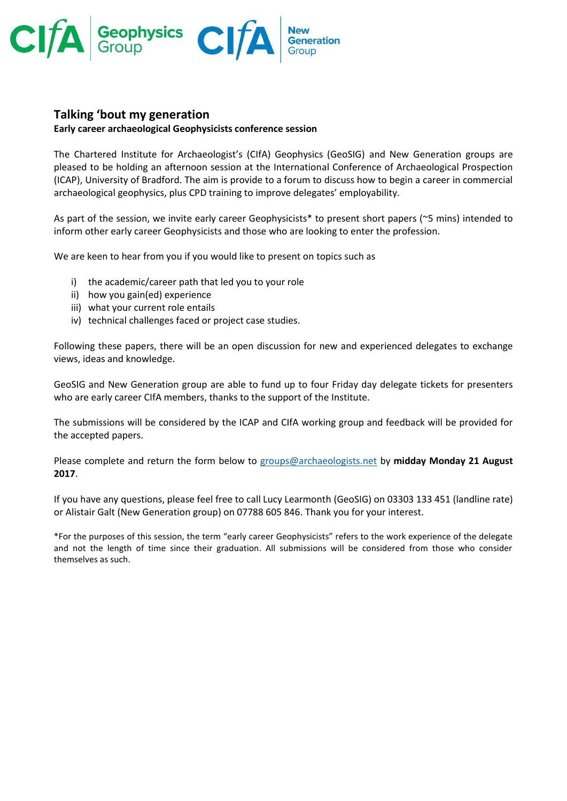

## **Talking 'bout my generation**

## **Early career archaeological Geophysicists conference session**

The Chartered Institute for Archaeologist's (CIfA) Geophysics (GeoSIG) and New Generation groups are pleased to be holding an afternoon session at the International Conference of Archaeological Prospection (ICAP), University of Bradford. The aim is provide to a forum to discuss how to begin a career in commercial archaeological geophysics, plus CPD training to improve delegates' employability.

As part of the session, we invite early career Geophysicists\* to present short papers (~5 mins) intended to inform other early career Geophysicists and those who are looking to enter the profession.

We are keen to hear from you if you would like to present on topics such as

- i) the academic/career path that led you to your role
- ii) how you gain(ed) experience
- iii) what your current role entails
- iv) technical challenges faced or project case studies.

Following these papers, there will be an open discussion for new and experienced delegates to exchange views, ideas and knowledge.

GeoSIG and New Generation group are able to fund up to four Friday day delegate tickets for presenters who are early career CIfA members, thanks to the support of the Institute.

The submissions will be considered by the ICAP and CIfA working group and feedback will be provided for the accepted papers.

Please complete and return the form below to [groups@archaeologists.net](mailto:groups@archaeologists.net) by **midday Monday 21 August 2017**.

If you have any questions, please feel free to call Lucy Learmonth (GeoSIG) on 03303 133 451 (landline rate) or Alistair Galt (New Generation group) on 07788 605 846. Thank you for your interest.

\*For the purposes of this session, the term "early career Geophysicists" refers to the work experience of the delegate and not the length of time since their graduation. All submissions will be considered from those who consider themselves as such.